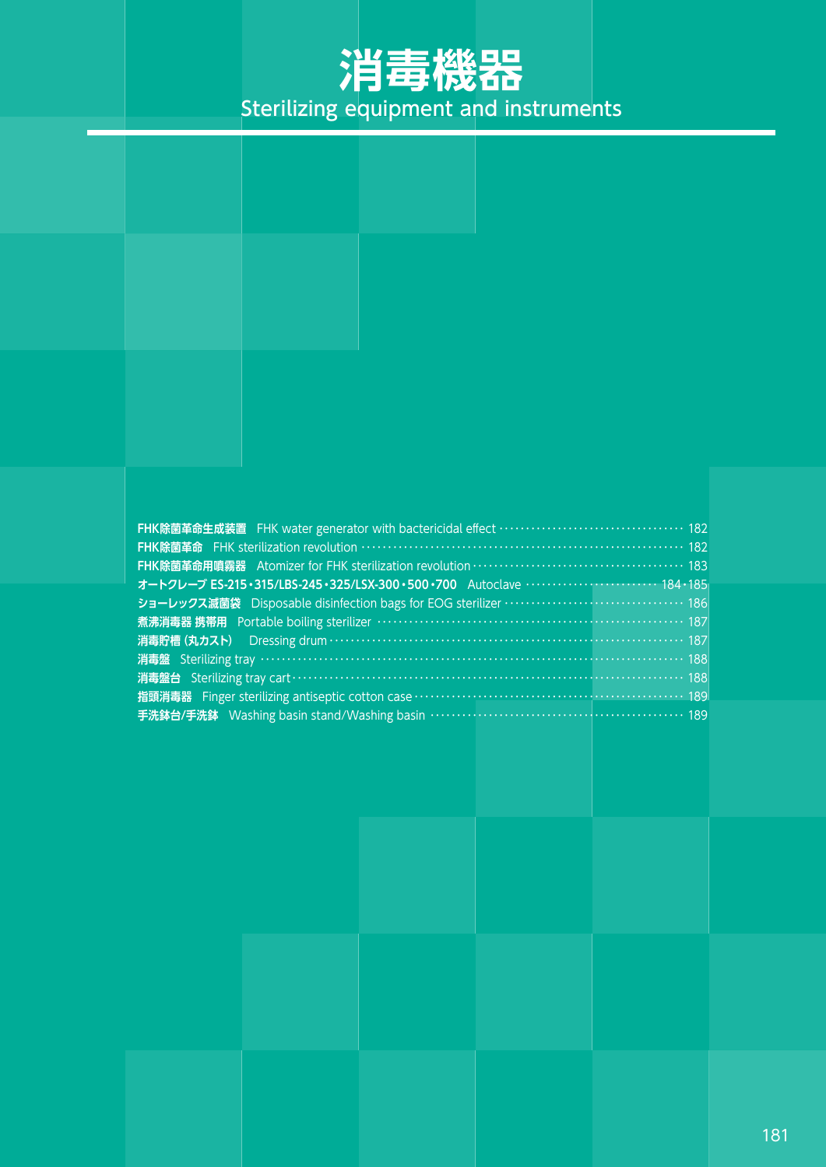# **消毒機器** Sterilizing equipment and instruments

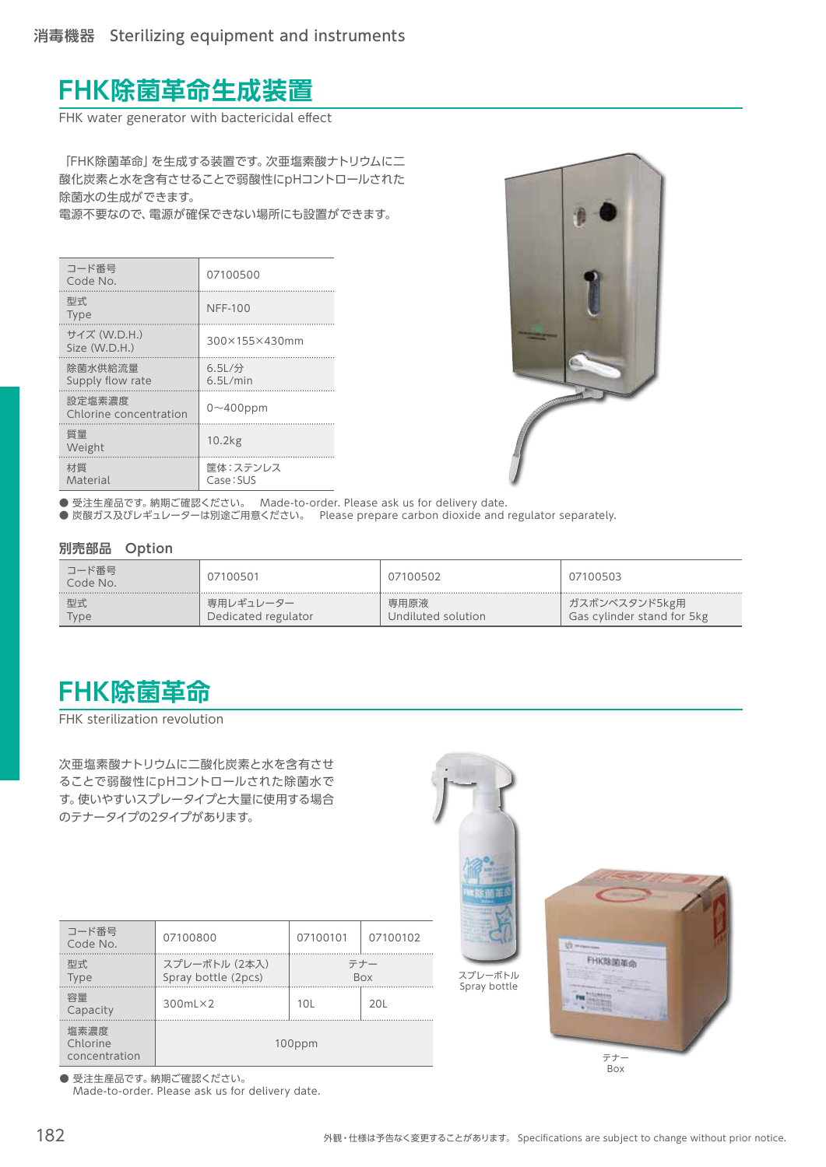### **FHK除菌革命生成装置**

FHK water generator with bactericidal effect

「FHK除菌革命」を生成する装置です。次亜塩素酸ナトリウムに二 酸化炭素と水を含有させることで弱酸性にpHコントロールされた 除菌水の生成ができます。

電源不要なので、電源が確保できない場所にも設置ができます。

| コード番号<br>Code No.                | 07100500              |
|----------------------------------|-----------------------|
| 型式<br><b>Type</b>                | <b>NFF-100</b>        |
| サイズ (W.D.H.)<br>Size (W.D.H.)    | 300×155×430mm         |
| 除菌水供給流量<br>Supply flow rate      | 6.5L/分<br>$6.5$ L/min |
| 設定塩素濃度<br>Chlorine concentration | $0 \sim 400$ ppm      |
| 質量<br>Weight                     | 10.2kg                |
| 材質<br>Material                   | 筐体:ステンレス<br>Case: SUS |



● 受注生産品です。 納期ご確認ください。 Made-to-order. Please ask us for delivery date.

● 炭酸ガス及びレギュレーターは別途ご用意ください。 Please prepare carbon dioxide and regulator separately.

#### **別売部品 Option**

| コード番号<br>Code No. | 07100501            | 07100502           | 07100503                   |
|-------------------|---------------------|--------------------|----------------------------|
| 型式                | 専用レギュレーター           | 専用原液               | ガスボンベスタンド5kg用              |
| Type              | Dedicated regulator | Undiluted solution | Gas cylinder stand for 5kg |

### **FHK除菌革命**

FHK sterilization revolution

次亜塩素酸ナトリウムに二酸化炭素と水を含有させ ることで弱酸性にpHコントロールされた除菌水で す。使いやすいスプレータイプと大量に使用する場合 のテナータイプの2タイプがあります。

| コード番号<br>Code No.                 | 07100800<br>07100101                 |                   | 07100102 |
|-----------------------------------|--------------------------------------|-------------------|----------|
| 型式<br>Type                        | スプレーボトル (2本入)<br>Spray bottle (2pcs) | テナー<br><b>Box</b> |          |
| 容量<br>Capacity                    | $300mL \times 2$                     | 10 <sub>L</sub>   | 20L      |
| 塩素濃度<br>Chlorine<br>concentration |                                      | 100ppm            |          |

● 受注生産品です。納期ご確認ください。 Made-to-order. Please ask us for delivery date.



テナー Box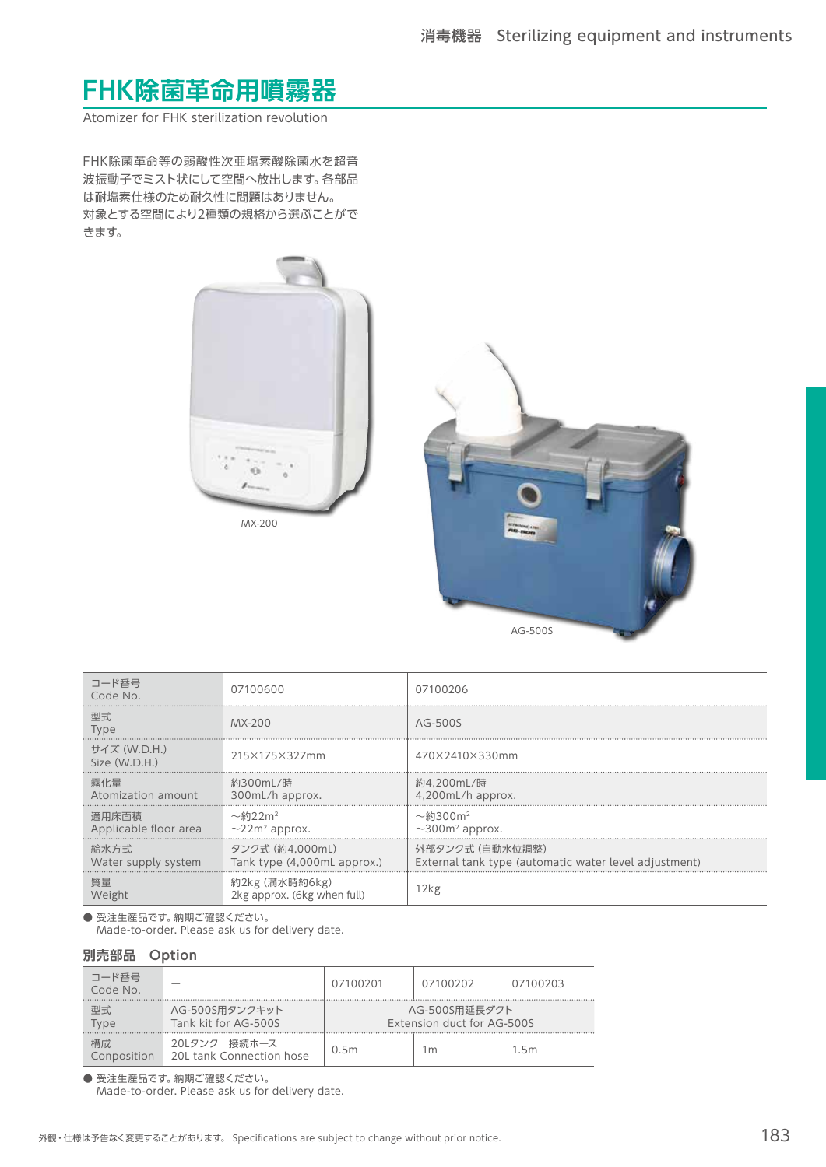## **FHK除菌革命用噴霧器**

Atomizer for FHK sterilization revolution

FHK除菌革命等の弱酸性次亜塩素酸除菌水を超音 波振動子でミスト状にして空間へ放出します。各部品 は耐塩素仕様のため耐久性に問題はありません。 対象とする空間により2種類の規格から選ぶことがで きます。





| コード番号<br>Code No.              | 07100600                                                    | 07100206                                                                 |
|--------------------------------|-------------------------------------------------------------|--------------------------------------------------------------------------|
| 型式<br><b>Type</b>              | MX-200                                                      | AG-500S                                                                  |
| サイズ (W.D.H.)<br>Size (W.D.H.)  | 215×175×327mm                                               | 470×2410×330mm                                                           |
| 霧化量<br>Atomization amount      | 約300mL/時<br>300mL/h approx.                                 | 約4.200mL/時<br>4,200mL/h approx.                                          |
| 適用床面積<br>Applicable floor area | $\sim$ 約22m <sup>2</sup><br>$\sim$ 22m <sup>2</sup> approx. | $\sim$ 約300m <sup>2</sup><br>$\sim$ 300m <sup>2</sup> approx.            |
| 給水方式<br>Water supply system    | タンク式 (約4.000mL)<br>Tank type (4,000mL approx.)              | 外部タンク式 (白動水位調整)<br>External tank type (automatic water level adjustment) |
| 質量<br>Weight                   | 約2kg (満水時約6kg)<br>2kg approx. (6kg when full)               | 2kg                                                                      |

● 受注生産品です。納期ご確認ください。

Made-to-order. Please ask us for delivery date.

#### **別売部品 Option**

| コード番号<br>Code No. |                                             | 07100201 | 07100202                                    | 07100203 |
|-------------------|---------------------------------------------|----------|---------------------------------------------|----------|
| 型式<br>Type        | AG-500S用タンクキット<br>Tank kit for AG-500S      |          | AG-500S用延長ダクト<br>Extension duct for AG-500S |          |
| 構成<br>Conposition | 20Lタンク<br>接続ホース<br>20L tank Connection hose | 0.5m     | 1m                                          | 1.5m     |

● 受注生産品です。 納期ご確認ください。

Made-to-order. Please ask us for delivery date.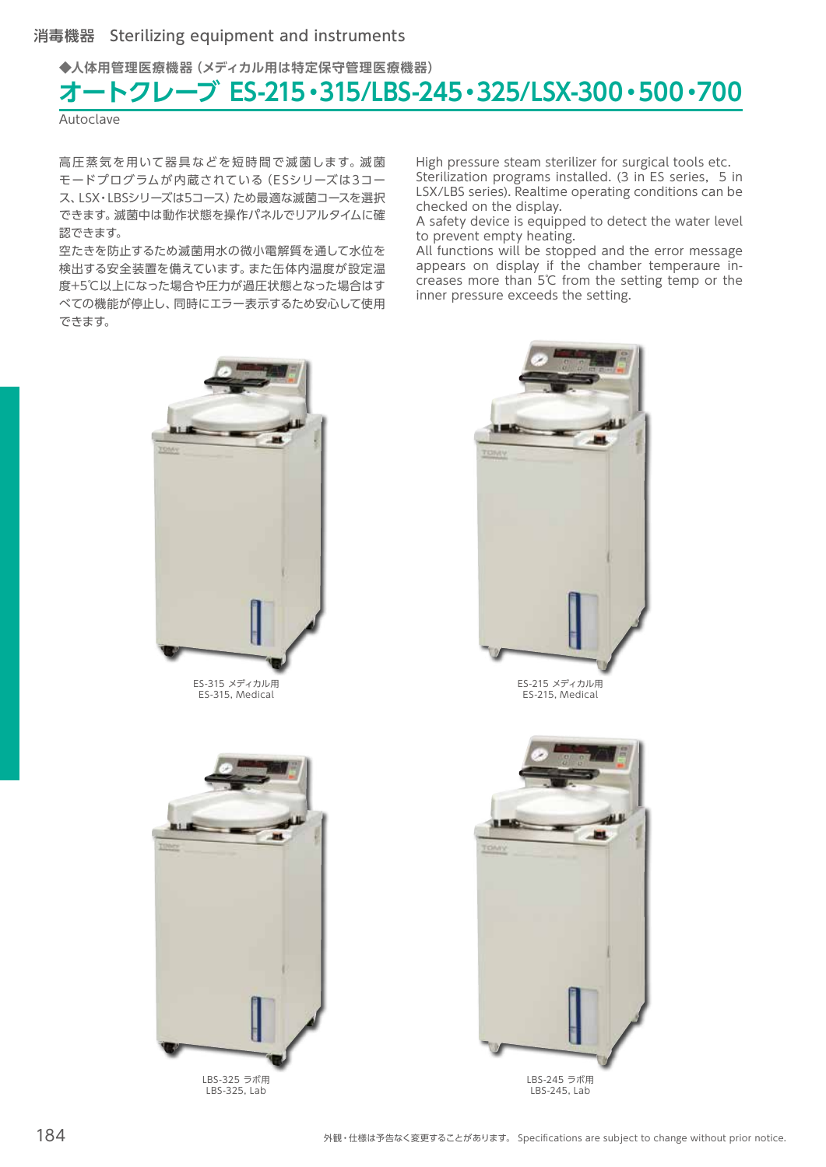**◆人体用管理医療機器(メディカル用は特定保守管理医療機器)**

# **オートクレーブ ES-215・315/LBS-245・325/LSX-300・500・700**

**Autoclave** 

高圧蒸気を用いて器具などを短時間で滅菌します。滅菌 モードプログラムが内蔵されている(ESシリーズは3コー ス、LSX・LBSシリーズは5コース)ため最適な滅菌コースを選択 できます。滅菌中は動作状態を操作パネルでリアルタイムに確 認できます。

空たきを防止するため滅菌用水の微小電解質を通して水位を 検出する安全装置を備えています。また缶体内温度が設定温 度+5℃以上になった場合や圧力が過圧状態となった場合はす べての機能が停止し、同時にエラー表示するため安心して使用 できます。

High pressure steam sterilizer for surgical tools etc. Sterilization programs installed. (3 in ES series, 5 in LSX/LBS series). Realtime operating conditions can be checked on the display.

A safety device is equipped to detect the water level to prevent empty heating.

All functions will be stopped and the error message appears on display if the chamber temperaure increases more than 5℃ from the setting temp or the inner pressure exceeds the setting.



ES-315 メディカル用 ES-315, Medical



ES-215, Medical



LBS-325 ラボ用 LBS-325, Lab



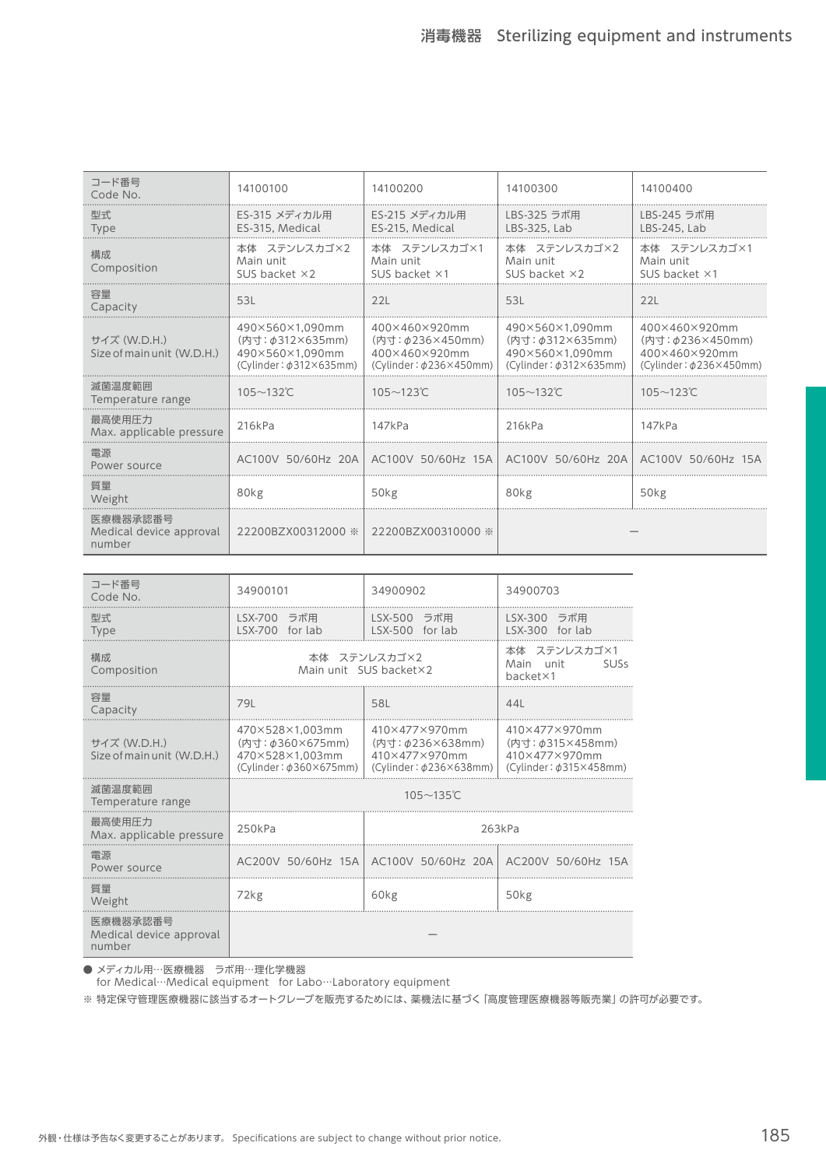| コード番号<br>Code No.                             | 14100100                                                                                    | 14100200                                                                                | 14100300                                                                                    | 14100400                                                                           |
|-----------------------------------------------|---------------------------------------------------------------------------------------------|-----------------------------------------------------------------------------------------|---------------------------------------------------------------------------------------------|------------------------------------------------------------------------------------|
| 型式.<br><b>Type</b>                            | ES-315 メディカル用<br>ES-315, Medical                                                            | ES-215 メディカル用<br>ES-215. Medical                                                        | LBS-325 ラボ用<br>LBS-325, Lab                                                                 | LBS-245 ラボ用<br>LBS-245, Lab                                                        |
| 構成<br>Composition                             | 本体 ステンレスカゴ×2<br>Main unit<br>SUS backet $\times 2$                                          | 本体 ステンレスカゴ×1<br>Main unit<br>SUS backet $\times 1$                                      | 本体 ステンレスカゴ×2<br>Main unit<br>SUS backet $\times$ 2                                          | 本体 ステンレスカゴ×1<br>Main unit<br>SUS backet $\times$ 1                                 |
| 容量<br>Capacity                                | 53L                                                                                         | 22L                                                                                     | 53L                                                                                         | 22L                                                                                |
| サイズ (W.D.H.)<br>Size of main unit (W.D.H.)    | 490×560×1.090mm<br>(内寸: $\phi$ 312×635mm)<br>490×560×1.090mm<br>$(Cylinder: \phi312×635mm)$ | 400×460×920mm<br>(内寸: $\phi$ 236×450mm)<br>400×460×920mm<br>$(Cylinder: \phi236×450mm)$ | 490×560×1.090mm<br>(内寸: $\phi$ 312×635mm)<br>490×560×1.090mm<br>$(Cylinder: \phi312×635mm)$ | 400×460×920mm<br>(内寸: \$236×450mm)<br>400×460×920mm<br>$(Cylinder: \phi236×450mm)$ |
| 滅菌温度範囲<br>Temperature range                   | $105 - 132$ °C                                                                              | $105 - 123$ °C                                                                          | $105 - 132$ °C                                                                              | $105 - 123$ °C                                                                     |
| 最高使用压力<br>Max. applicable pressure            | 216kPa                                                                                      | 147kPa                                                                                  | 216kPa                                                                                      | 147kPa                                                                             |
| 雷源<br>Power source                            | AC100V 50/60Hz 20A                                                                          | AC100V 50/60Hz 15A                                                                      | AC100V 50/60Hz 20A AC100V 50/60Hz 15A                                                       |                                                                                    |
| 質量<br>Weight                                  | 80kg                                                                                        | 50 <sub>kg</sub>                                                                        | 80kg                                                                                        | 50kg                                                                               |
| 医療機器承認番号<br>Medical device approval<br>number | 22200BZX00312000 ※                                                                          | 22200BZX00310000 ※                                                                      |                                                                                             |                                                                                    |

| コード番号<br>Code No.                             | 34900101                                                                                    | 34900902                                                                           | 34900703                                                                                |  |
|-----------------------------------------------|---------------------------------------------------------------------------------------------|------------------------------------------------------------------------------------|-----------------------------------------------------------------------------------------|--|
| 型式.<br><b>Type</b>                            | LSX-700 ラボ用<br>LSX-700 for lab                                                              | LSX-500 ラボ用<br>LSX-500 for lab                                                     | LSX-300 ラボ用<br>LSX-300 for lab                                                          |  |
| 構成<br>Composition                             |                                                                                             | 本体 ステンレスカゴ×2<br>Main unit SUS backet×2                                             | 本体 ステンレスカゴ×1<br>Main unit<br><b>SUSs</b><br>backet×1                                    |  |
| 容量<br>Capacity                                | 79L                                                                                         | 58L                                                                                | 44L                                                                                     |  |
| サイズ (W.D.H.)<br>Size of main unit (W.D.H.)    | 470×528×1.003mm<br>(内寸: $\phi$ 360×675mm)<br>470×528×1.003mm<br>$(Cylinder: \phi360×675mm)$ | 410×477×970mm<br>(内寸: \$236×638mm)<br>410×477×970mm<br>$(Cylinder: \phi236×638mm)$ | 410×477×970mm<br>(内寸: $\phi$ 315×458mm)<br>410×477×970mm<br>$(Cylinder: \phi315×458mm)$ |  |
| 滅菌温度範囲<br>Temperature range                   | $105 - 135^{\circ}$ C                                                                       |                                                                                    |                                                                                         |  |
| 最高使用圧力<br>Max. applicable pressure            | 250kPa                                                                                      |                                                                                    | 263kPa                                                                                  |  |
| 雷源<br>Power source                            |                                                                                             | AC200V 50/60Hz 15A AC100V 50/60Hz 20A AC200V 50/60Hz 15A                           |                                                                                         |  |
| 質量<br>Weight                                  | 72kg                                                                                        | 60kg                                                                               | 50 <sub>kg</sub>                                                                        |  |
| 医療機器承認番号<br>Medical device approval<br>number |                                                                                             |                                                                                    |                                                                                         |  |

● メディカル用…医療機器 ラボ用…理化学機器

for Medical…Medical equipment for Labo…Laboratory equipment

※ 特定保守管理医療機器に該当するオートクレーブを販売するためには、薬機法に基づく「高度管理医療機器等販売業」の許可が必要です。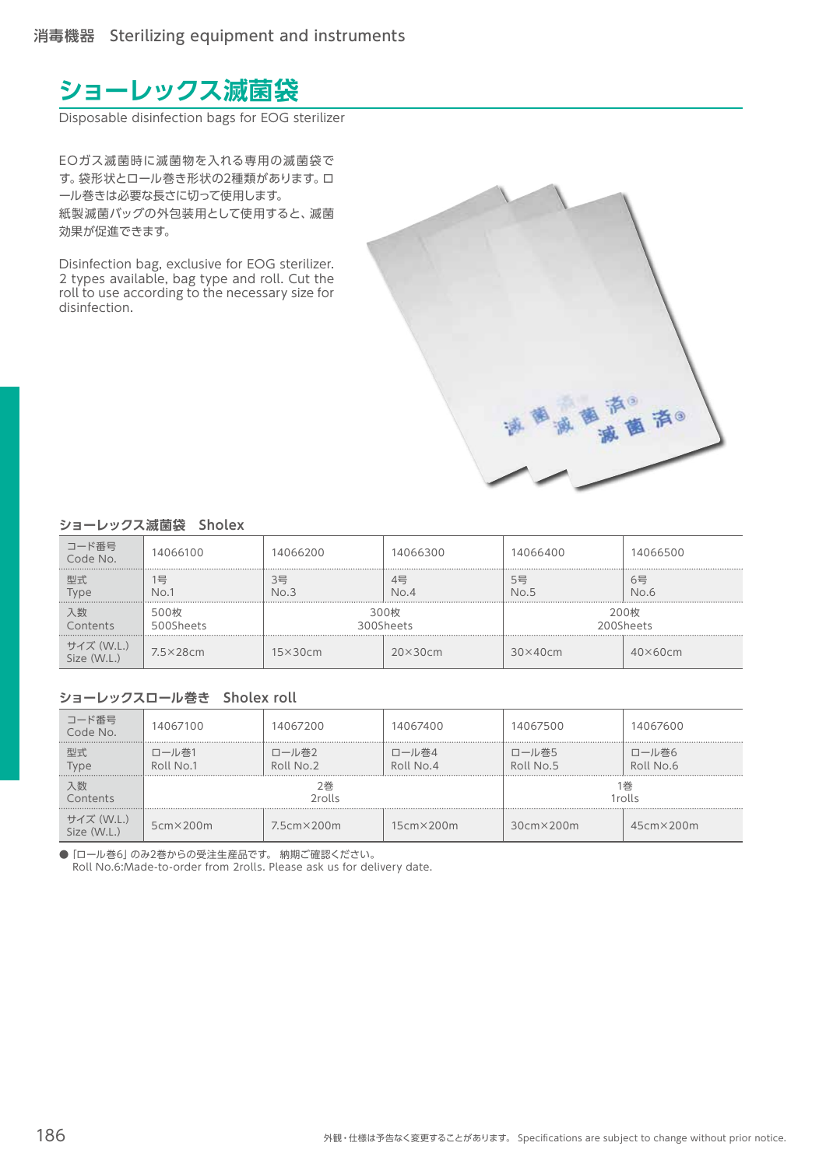## **ショーレックス滅菌袋**

Disposable disinfection bags for EOG sterilizer

EOガス滅菌時に滅菌物を入れる専用の滅菌袋で す。袋形状とロール巻き形状の2種類があります。ロ ール巻きは必要な長さに切って使用します。 紙製滅菌バッグの外包装用として使用すると、滅菌 効果が促進できます。

Disinfection bag, exclusive for EOG sterilizer. 2 types available, bag type and roll. Cut the roll to use according to the necessary size for disinfection.



#### **ショーレックス滅菌袋 Sholex**

| コード番号<br>Code No.         | 14066100           | 14066200          | 14066300       | 14066400       | 14066500          |
|---------------------------|--------------------|-------------------|----------------|----------------|-------------------|
| 型式<br>Type                | 믁<br>No.1          | 3믁<br>No.3        | 4믁<br>No.4     | 5号<br>No.5     | 6号<br>No.6        |
| 入数<br>Contents            | 500枚<br>500Sheets  | 300枚<br>300Sheets |                |                | 200枚<br>200Sheets |
| サイズ (W.L.)<br>Size (W.L.) | $7.5 \times 28$ cm | $15\times30cm$    | $20\times30cm$ | $30\times40cm$ | $40\times60cm$    |

#### **ショーレックスロール巻き Sholex roll**

| コード番号<br>Code No.         | 14067100<br>.      | 14067200            | 14067400           | 14067500           | 14067600           |
|---------------------------|--------------------|---------------------|--------------------|--------------------|--------------------|
| 型式<br>Type                | コール巻1<br>Roll No.1 | ロール巻2<br>Roll No.2  | ロール巻4<br>Roll No.4 | ロール巻5<br>Roll No.5 | ロール巻6<br>Roll No.6 |
| 入数<br>Contents            | 2巻<br>2rolls       |                     |                    |                    | 巻<br>1rolls        |
| サイズ (W.L.)<br>Size (W.L.) | $5cm \times 200m$  | $7.5cm \times 200m$ | $15cm \times 200m$ | $30cm \times 200m$ | $45cm \times 200m$ |

● 「ロール巻6」のみ2巻からの受注生産品です。 納期ご確認ください。 Roll No.6:Made-to-order from 2rolls. Please ask us for delivery date.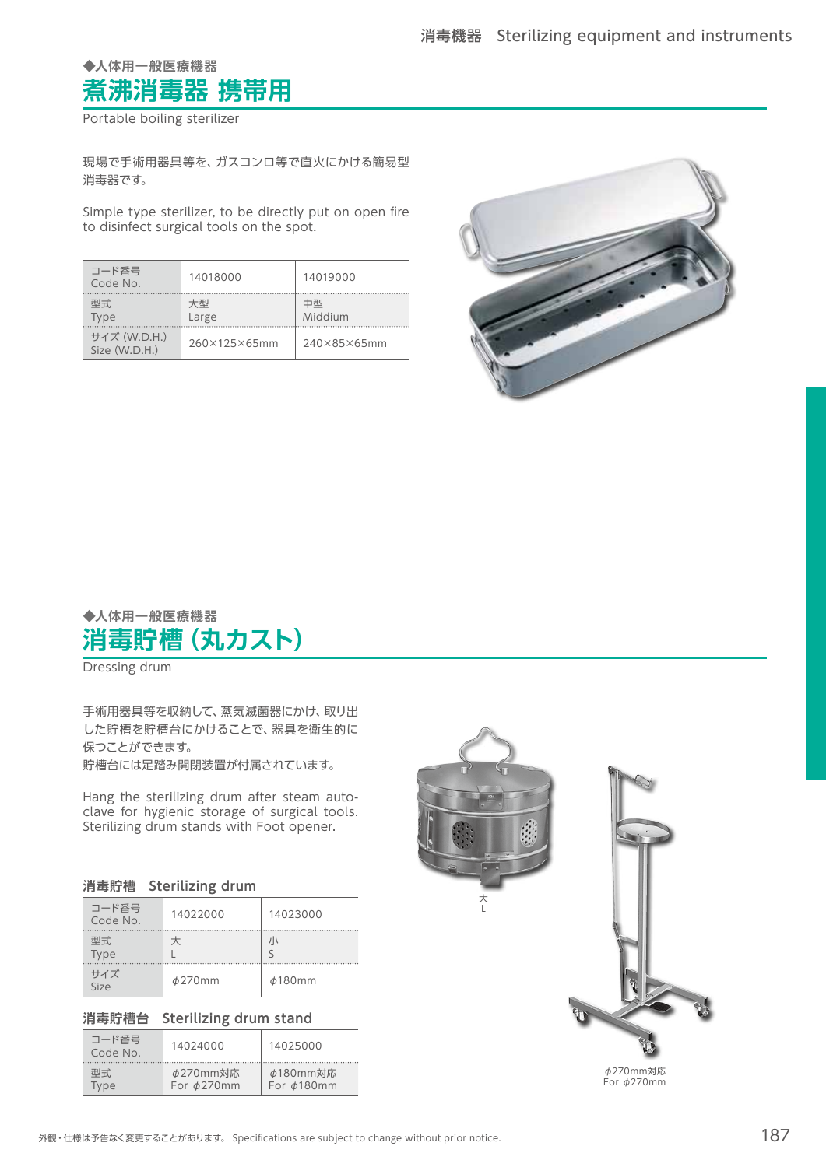### **◆人体用一般医療機器 煮沸消毒器 携帯用**

Portable boiling sterilizer

現場で手術用器具等を、ガスコンロ等で直火にかける簡易型 消毒器です。

Simple type sterilizer, to be directly put on open fire to disinfect surgical tools on the spot.

| コード番号<br>Code No.             | 14018000     | 14019000      |
|-------------------------------|--------------|---------------|
| 型式<br>Type                    | 大型<br>Large  | 中型<br>Middium |
| サイズ (W.D.H.)<br>Size (W.D.H.) | 260×125×65mm | 240×85×65mm   |



### **◆人体用一般医療機器 消毒貯槽(丸カスト)**

Dressing drum

手術用器具等を収納して、蒸気滅菌器にかけ、取り出 した貯槽を貯槽台にかけることで、器具を衛生的に 保つことができます。

貯槽台には足踏み開閉装置が付属されています。

Hang the sterilizing drum after steam autoclave for hygienic storage of surgical tools. Sterilizing drum stands with Foot opener.

| 消毒貯槽 | <b>Sterilizing drum</b> |  |
|------|-------------------------|--|
|      |                         |  |

| コード番号<br>Code No. | 14022000     | 14023000     |
|-------------------|--------------|--------------|
| 型式<br>Type        |              | 川            |
| サイズ<br>Size       | $\phi$ 270mm | $\phi$ 180mm |

#### **消毒貯槽台 Sterilizing drum stand**

| コード番号<br>Code No. | 14024000        | 14025000           |  |
|-------------------|-----------------|--------------------|--|
| 型式                | <b>φ270mm対応</b> | <b>φ180mm対応</b>    |  |
| Type              | For ø270mm      | For <i>b</i> 180mm |  |



φ270mm対応 For φ270mm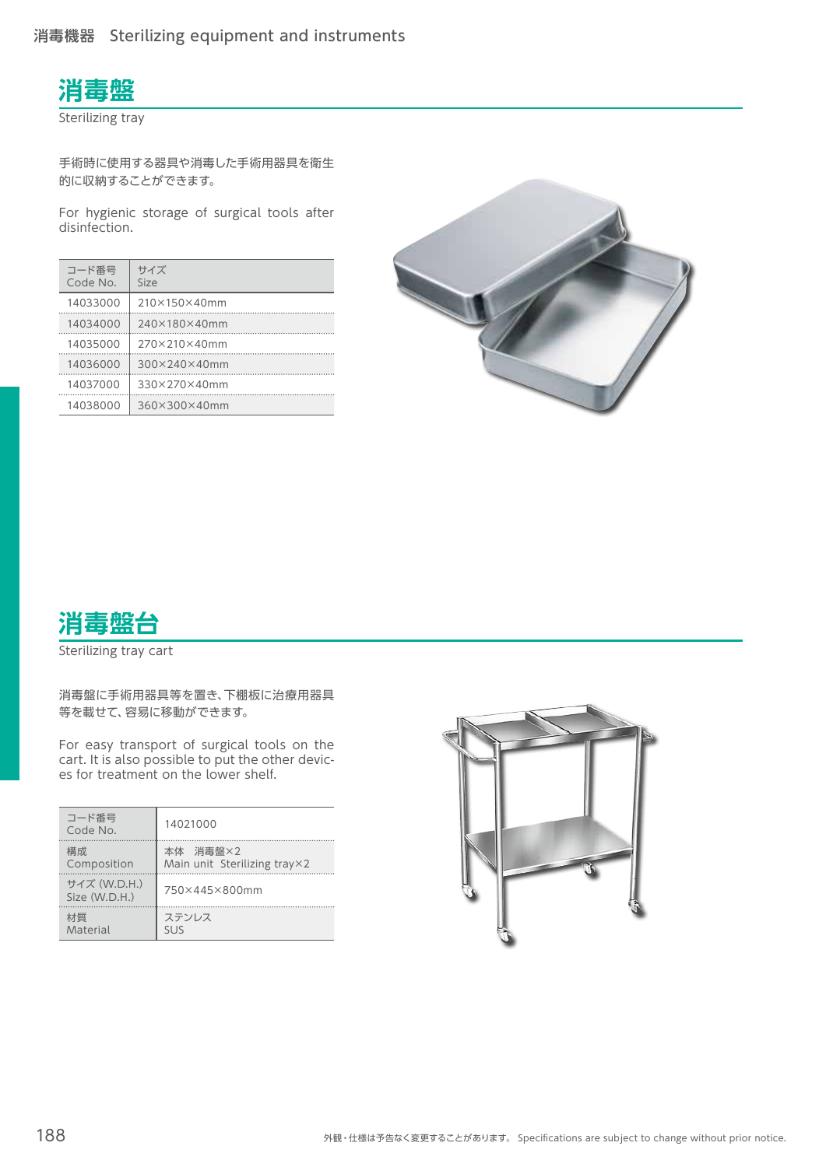

Sterilizing tray

手術時に使用する器具や消毒した手術用器具を衛生 的に収納することができます。

For hygienic storage of surgical tools after disinfection.

| コード番号<br>Code No. | サイズ<br>Size  |
|-------------------|--------------|
| 14033000          | 210×150×40mm |
| 14034000          | 240×180×40mm |
| 14035000          | 270×210×40mm |
| 14036000          | 300×240×40mm |
| 14037000          | 330×270×40mm |
| 14038000          | 360×300×40mm |





Sterilizing tray cart

消毒盤に手術用器具等を置き、下棚板に治療用器具 等を載せて、容易に移動ができます。

For easy transport of surgical tools on the cart. It is also possible to put the other devices for treatment on the lower shelf.

| コード番号<br>Code No.             | 14021000                              |
|-------------------------------|---------------------------------------|
| 構成.                           | 本体 消毒盤×2                              |
| Composition                   | Main unit Sterilizing tray $\times$ 2 |
| サイズ (W.D.H.)<br>Size (W.D.H.) | 750×445×800mm                         |
| 材質                            | ステンレス                                 |
| Material                      | <b>SUS</b>                            |